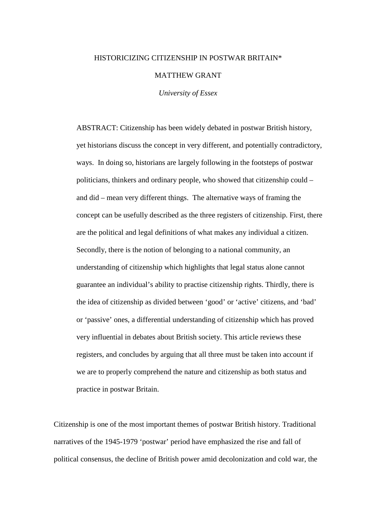## HISTORICIZING CITIZENSHIP IN POSTWAR BRITAIN\*

MATTHEW GRANT

*University of Essex* 

ABSTRACT: Citizenship has been widely debated in postwar British history, yet historians discuss the concept in very different, and potentially contradictory, ways. In doing so, historians are largely following in the footsteps of postwar politicians, thinkers and ordinary people, who showed that citizenship could – and did – mean very different things. The alternative ways of framing the concept can be usefully described as the three registers of citizenship. First, there are the political and legal definitions of what makes any individual a citizen. Secondly, there is the notion of belonging to a national community, an understanding of citizenship which highlights that legal status alone cannot guarantee an individual's ability to practise citizenship rights. Thirdly, there is the idea of citizenship as divided between 'good' or 'active' citizens, and 'bad' or 'passive' ones, a differential understanding of citizenship which has proved very influential in debates about British society. This article reviews these registers, and concludes by arguing that all three must be taken into account if we are to properly comprehend the nature and citizenship as both status and practice in postwar Britain.

Citizenship is one of the most important themes of postwar British history. Traditional narratives of the 1945-1979 'postwar' period have emphasized the rise and fall of political consensus, the decline of British power amid decolonization and cold war, the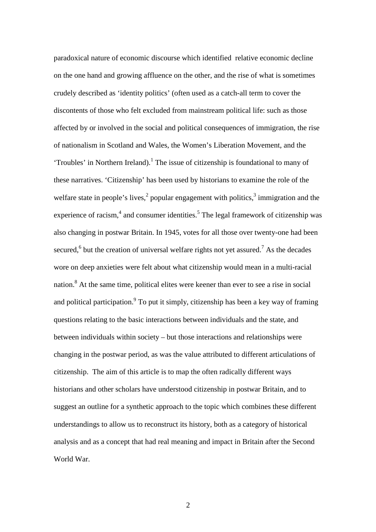paradoxical nature of economic discourse which identified relative economic decline on the one hand and growing affluence on the other, and the rise of what is sometimes crudely described as 'identity politics' (often used as a catch-all term to cover the discontents of those who felt excluded from mainstream political life: such as those affected by or involved in the social and political consequences of immigration, the rise of nationalism in Scotland and Wales, the Women's Liberation Movement, and the 'Troubles' in Northern Ireland).<sup>1</sup> The issue of citizenship is foundational to many of these narratives. 'Citizenship' has been used by historians to examine the role of the welfare state in people's lives,<sup>2</sup> popular engagement with politics,<sup>3</sup> immigration and the experience of racism,<sup>4</sup> and consumer identities.<sup>5</sup> The legal framework of citizenship was also changing in postwar Britain. In 1945, votes for all those over twenty-one had been secured, $6$  but the creation of universal welfare rights not yet assured.<sup>7</sup> As the decades wore on deep anxieties were felt about what citizenship would mean in a multi-racial nation.<sup>8</sup> At the same time, political elites were keener than ever to see a rise in social and political participation.<sup>9</sup> To put it simply, citizenship has been a key way of framing questions relating to the basic interactions between individuals and the state, and between individuals within society – but those interactions and relationships were changing in the postwar period, as was the value attributed to different articulations of citizenship. The aim of this article is to map the often radically different ways historians and other scholars have understood citizenship in postwar Britain, and to suggest an outline for a synthetic approach to the topic which combines these different understandings to allow us to reconstruct its history, both as a category of historical analysis and as a concept that had real meaning and impact in Britain after the Second World War.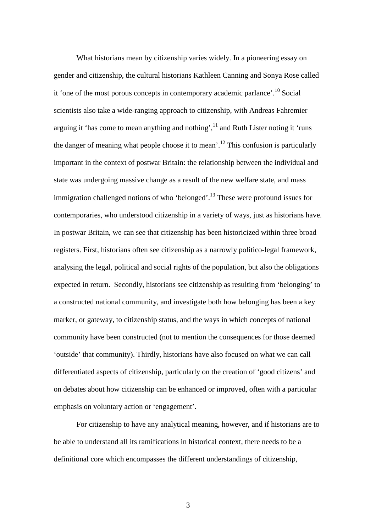What historians mean by citizenship varies widely. In a pioneering essay on gender and citizenship, the cultural historians Kathleen Canning and Sonya Rose called it 'one of the most porous concepts in contemporary academic parlance'.<sup>10</sup> Social scientists also take a wide-ranging approach to citizenship, with Andreas Fahremier arguing it 'has come to mean anything and nothing',  $\frac{1}{1}$  and Ruth Lister noting it 'runs the danger of meaning what people choose it to mean'.<sup>12</sup> This confusion is particularly important in the context of postwar Britain: the relationship between the individual and state was undergoing massive change as a result of the new welfare state, and mass immigration challenged notions of who 'belonged'.<sup>13</sup> These were profound issues for contemporaries, who understood citizenship in a variety of ways, just as historians have. In postwar Britain, we can see that citizenship has been historicized within three broad registers. First, historians often see citizenship as a narrowly politico-legal framework, analysing the legal, political and social rights of the population, but also the obligations expected in return. Secondly, historians see citizenship as resulting from 'belonging' to a constructed national community, and investigate both how belonging has been a key marker, or gateway, to citizenship status, and the ways in which concepts of national community have been constructed (not to mention the consequences for those deemed 'outside' that community). Thirdly, historians have also focused on what we can call differentiated aspects of citizenship, particularly on the creation of 'good citizens' and on debates about how citizenship can be enhanced or improved, often with a particular emphasis on voluntary action or 'engagement'.

For citizenship to have any analytical meaning, however, and if historians are to be able to understand all its ramifications in historical context, there needs to be a definitional core which encompasses the different understandings of citizenship,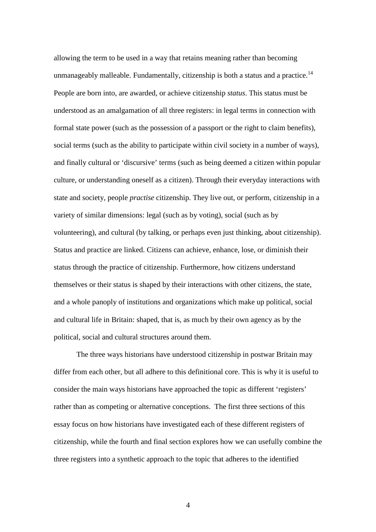allowing the term to be used in a way that retains meaning rather than becoming unmanageably malleable. Fundamentally, citizenship is both a status and a practice.<sup>14</sup> People are born into, are awarded, or achieve citizenship *status*. This status must be understood as an amalgamation of all three registers: in legal terms in connection with formal state power (such as the possession of a passport or the right to claim benefits), social terms (such as the ability to participate within civil society in a number of ways), and finally cultural or 'discursive' terms (such as being deemed a citizen within popular culture, or understanding oneself as a citizen). Through their everyday interactions with state and society, people *practise* citizenship. They live out, or perform, citizenship in a variety of similar dimensions: legal (such as by voting), social (such as by volunteering), and cultural (by talking, or perhaps even just thinking, about citizenship). Status and practice are linked. Citizens can achieve, enhance, lose, or diminish their status through the practice of citizenship. Furthermore, how citizens understand themselves or their status is shaped by their interactions with other citizens, the state, and a whole panoply of institutions and organizations which make up political, social and cultural life in Britain: shaped, that is, as much by their own agency as by the political, social and cultural structures around them.

The three ways historians have understood citizenship in postwar Britain may differ from each other, but all adhere to this definitional core. This is why it is useful to consider the main ways historians have approached the topic as different 'registers' rather than as competing or alternative conceptions. The first three sections of this essay focus on how historians have investigated each of these different registers of citizenship, while the fourth and final section explores how we can usefully combine the three registers into a synthetic approach to the topic that adheres to the identified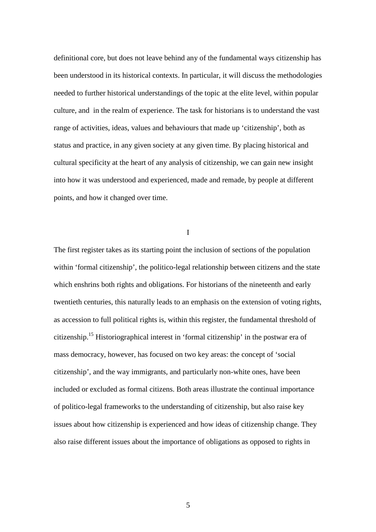definitional core, but does not leave behind any of the fundamental ways citizenship has been understood in its historical contexts. In particular, it will discuss the methodologies needed to further historical understandings of the topic at the elite level, within popular culture, and in the realm of experience. The task for historians is to understand the vast range of activities, ideas, values and behaviours that made up 'citizenship', both as status and practice, in any given society at any given time. By placing historical and cultural specificity at the heart of any analysis of citizenship, we can gain new insight into how it was understood and experienced, made and remade, by people at different points, and how it changed over time.

I

The first register takes as its starting point the inclusion of sections of the population within 'formal citizenship', the politico-legal relationship between citizens and the state which enshrins both rights and obligations. For historians of the nineteenth and early twentieth centuries, this naturally leads to an emphasis on the extension of voting rights, as accession to full political rights is, within this register, the fundamental threshold of citizenship.<sup>15</sup> Historiographical interest in 'formal citizenship' in the postwar era of mass democracy, however, has focused on two key areas: the concept of 'social citizenship', and the way immigrants, and particularly non-white ones, have been included or excluded as formal citizens. Both areas illustrate the continual importance of politico-legal frameworks to the understanding of citizenship, but also raise key issues about how citizenship is experienced and how ideas of citizenship change. They also raise different issues about the importance of obligations as opposed to rights in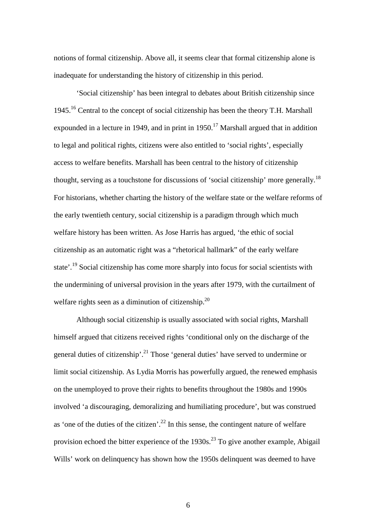notions of formal citizenship. Above all, it seems clear that formal citizenship alone is inadequate for understanding the history of citizenship in this period.

 'Social citizenship' has been integral to debates about British citizenship since 1945.<sup>16</sup> Central to the concept of social citizenship has been the theory T.H. Marshall expounded in a lecture in 1949, and in print in  $1950<sup>17</sup>$  Marshall argued that in addition to legal and political rights, citizens were also entitled to 'social rights', especially access to welfare benefits. Marshall has been central to the history of citizenship thought, serving as a touchstone for discussions of 'social citizenship' more generally.<sup>18</sup> For historians, whether charting the history of the welfare state or the welfare reforms of the early twentieth century, social citizenship is a paradigm through which much welfare history has been written. As Jose Harris has argued, 'the ethic of social citizenship as an automatic right was a "rhetorical hallmark" of the early welfare state'.<sup>19</sup> Social citizenship has come more sharply into focus for social scientists with the undermining of universal provision in the years after 1979, with the curtailment of welfare rights seen as a diminution of citizenship.<sup>20</sup>

 Although social citizenship is usually associated with social rights, Marshall himself argued that citizens received rights 'conditional only on the discharge of the general duties of citizenship'.<sup>21</sup> Those 'general duties' have served to undermine or limit social citizenship. As Lydia Morris has powerfully argued, the renewed emphasis on the unemployed to prove their rights to benefits throughout the 1980s and 1990s involved 'a discouraging, demoralizing and humiliating procedure', but was construed as 'one of the duties of the citizen'.<sup>22</sup> In this sense, the contingent nature of welfare provision echoed the bitter experience of the 1930s.<sup>23</sup> To give another example, Abigail Wills' work on delinquency has shown how the 1950s delinquent was deemed to have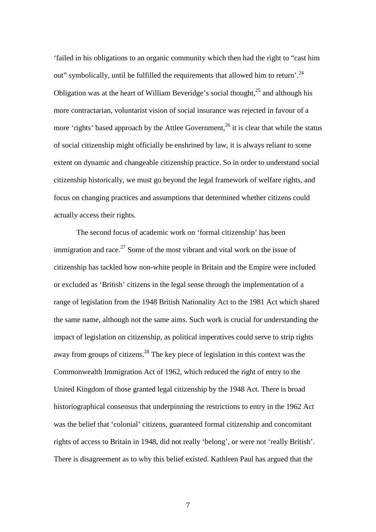'failed in his obligations to an organic community which then had the right to "cast him out" symbolically, until he fulfilled the requirements that allowed him to return'.<sup>24</sup> Obligation was at the heart of William Beveridge's social thought, $^{25}$  and although his more contractarian, voluntarist vision of social insurance was rejected in favour of a more 'rights' based approach by the Attlee Government,<sup>26</sup> it is clear that while the status of social citizenship might officially be enshrined by law, it is always reliant to some extent on dynamic and changeable citizenship practice. So in order to understand social citizenship historically, we must go beyond the legal framework of welfare rights, and focus on changing practices and assumptions that determined whether citizens could actually access their rights.

The second focus of academic work on 'formal citizenship' has been immigration and race.<sup>27</sup> Some of the most vibrant and vital work on the issue of citizenship has tackled how non-white people in Britain and the Empire were included or excluded as 'British' citizens in the legal sense through the implementation of a range of legislation from the 1948 British Nationality Act to the 1981 Act which shared the same name, although not the same aims. Such work is crucial for understanding the impact of legislation on citizenship, as political imperatives could serve to strip rights away from groups of citizens.<sup>28</sup> The key piece of legislation in this context was the Commonwealth Immigration Act of 1962, which reduced the right of entry to the United Kingdom of those granted legal citizenship by the 1948 Act. There is broad historiographical consensus that underpinning the restrictions to entry in the 1962 Act was the belief that 'colonial' citizens, guaranteed formal citizenship and concomitant rights of access to Britain in 1948, did not really 'belong', or were not 'really British'. There is disagreement as to why this belief existed. Kathleen Paul has argued that the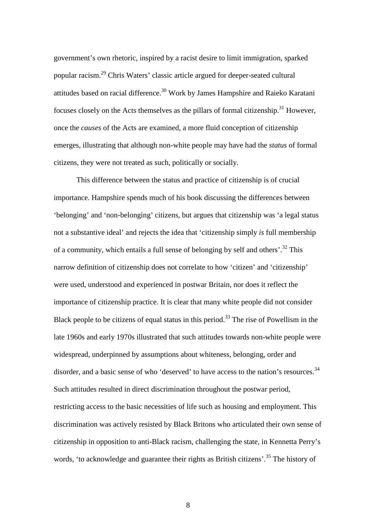government's own rhetoric, inspired by a racist desire to limit immigration, sparked popular racism.<sup>29</sup> Chris Waters' classic article argued for deeper-seated cultural attitudes based on racial difference.<sup>30</sup> Work by James Hampshire and Raieko Karatani focuses closely on the Acts themselves as the pillars of formal citizenship.<sup>31</sup> However, once the *causes* of the Acts are examined, a more fluid conception of citizenship emerges, illustrating that although non-white people may have had the *status* of formal citizens, they were not treated as such, politically or socially.

This difference between the status and practice of citizenship is of crucial importance. Hampshire spends much of his book discussing the differences between 'belonging' and 'non-belonging' citizens, but argues that citizenship was 'a legal status not a substantive ideal' and rejects the idea that 'citizenship simply *is* full membership of a community, which entails a full sense of belonging by self and others'.<sup>32</sup> This narrow definition of citizenship does not correlate to how 'citizen' and 'citizenship' were used, understood and experienced in postwar Britain, nor does it reflect the importance of citizenship practice. It is clear that many white people did not consider Black people to be citizens of equal status in this period.<sup>33</sup> The rise of Powellism in the late 1960s and early 1970s illustrated that such attitudes towards non-white people were widespread, underpinned by assumptions about whiteness, belonging, order and disorder, and a basic sense of who 'deserved' to have access to the nation's resources.<sup>34</sup> Such attitudes resulted in direct discrimination throughout the postwar period, restricting access to the basic necessities of life such as housing and employment. This discrimination was actively resisted by Black Britons who articulated their own sense of citizenship in opposition to anti-Black racism, challenging the state, in Kennetta Perry's words, 'to acknowledge and guarantee their rights as British citizens'.<sup>35</sup> The history of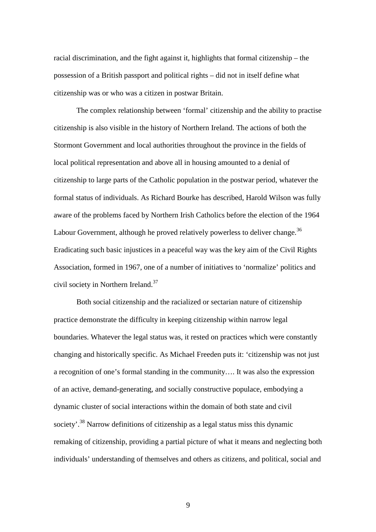racial discrimination, and the fight against it, highlights that formal citizenship – the possession of a British passport and political rights – did not in itself define what citizenship was or who was a citizen in postwar Britain.

The complex relationship between 'formal' citizenship and the ability to practise citizenship is also visible in the history of Northern Ireland. The actions of both the Stormont Government and local authorities throughout the province in the fields of local political representation and above all in housing amounted to a denial of citizenship to large parts of the Catholic population in the postwar period, whatever the formal status of individuals. As Richard Bourke has described, Harold Wilson was fully aware of the problems faced by Northern Irish Catholics before the election of the 1964 Labour Government, although he proved relatively powerless to deliver change.<sup>36</sup> Eradicating such basic injustices in a peaceful way was the key aim of the Civil Rights Association, formed in 1967, one of a number of initiatives to 'normalize' politics and civil society in Northern Ireland.<sup>37</sup>

Both social citizenship and the racialized or sectarian nature of citizenship practice demonstrate the difficulty in keeping citizenship within narrow legal boundaries. Whatever the legal status was, it rested on practices which were constantly changing and historically specific. As Michael Freeden puts it: 'citizenship was not just a recognition of one's formal standing in the community…. It was also the expression of an active, demand-generating, and socially constructive populace, embodying a dynamic cluster of social interactions within the domain of both state and civil society'.<sup>38</sup> Narrow definitions of citizenship as a legal status miss this dynamic remaking of citizenship, providing a partial picture of what it means and neglecting both individuals' understanding of themselves and others as citizens, and political, social and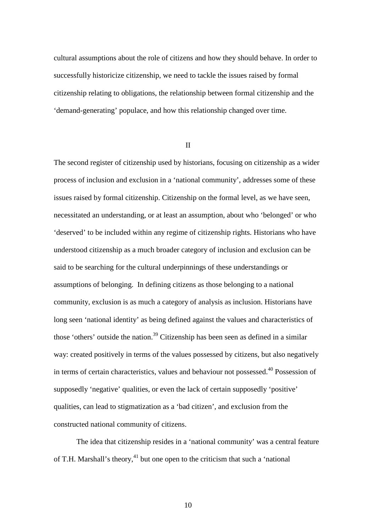cultural assumptions about the role of citizens and how they should behave. In order to successfully historicize citizenship, we need to tackle the issues raised by formal citizenship relating to obligations, the relationship between formal citizenship and the 'demand-generating' populace, and how this relationship changed over time.

II

The second register of citizenship used by historians, focusing on citizenship as a wider process of inclusion and exclusion in a 'national community', addresses some of these issues raised by formal citizenship. Citizenship on the formal level, as we have seen, necessitated an understanding, or at least an assumption, about who 'belonged' or who 'deserved' to be included within any regime of citizenship rights. Historians who have understood citizenship as a much broader category of inclusion and exclusion can be said to be searching for the cultural underpinnings of these understandings or assumptions of belonging. In defining citizens as those belonging to a national community, exclusion is as much a category of analysis as inclusion. Historians have long seen 'national identity' as being defined against the values and characteristics of those 'others' outside the nation.<sup>39</sup> Citizenship has been seen as defined in a similar way: created positively in terms of the values possessed by citizens, but also negatively in terms of certain characteristics, values and behaviour not possessed.<sup>40</sup> Possession of supposedly 'negative' qualities, or even the lack of certain supposedly 'positive' qualities, can lead to stigmatization as a 'bad citizen', and exclusion from the constructed national community of citizens.

The idea that citizenship resides in a 'national community' was a central feature of T.H. Marshall's theory,<sup>41</sup> but one open to the criticism that such a 'national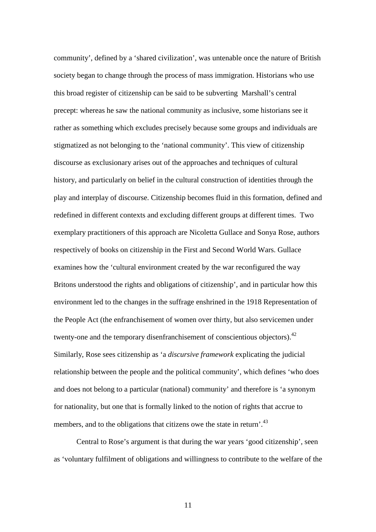community', defined by a 'shared civilization', was untenable once the nature of British society began to change through the process of mass immigration. Historians who use this broad register of citizenship can be said to be subverting Marshall's central precept: whereas he saw the national community as inclusive, some historians see it rather as something which excludes precisely because some groups and individuals are stigmatized as not belonging to the 'national community'. This view of citizenship discourse as exclusionary arises out of the approaches and techniques of cultural history, and particularly on belief in the cultural construction of identities through the play and interplay of discourse. Citizenship becomes fluid in this formation, defined and redefined in different contexts and excluding different groups at different times. Two exemplary practitioners of this approach are Nicoletta Gullace and Sonya Rose, authors respectively of books on citizenship in the First and Second World Wars. Gullace examines how the 'cultural environment created by the war reconfigured the way Britons understood the rights and obligations of citizenship', and in particular how this environment led to the changes in the suffrage enshrined in the 1918 Representation of the People Act (the enfranchisement of women over thirty, but also servicemen under twenty-one and the temporary disenfranchisement of conscientious objectors).<sup>42</sup> Similarly, Rose sees citizenship as 'a *discursive framework* explicating the judicial relationship between the people and the political community', which defines 'who does and does not belong to a particular (national) community' and therefore is 'a synonym for nationality, but one that is formally linked to the notion of rights that accrue to members, and to the obligations that citizens owe the state in return'.<sup>43</sup>

Central to Rose's argument is that during the war years 'good citizenship', seen as 'voluntary fulfilment of obligations and willingness to contribute to the welfare of the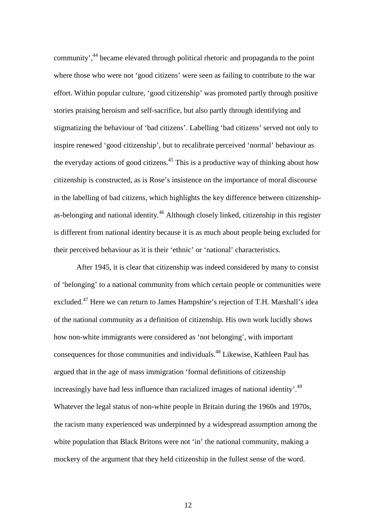community',<sup>44</sup> became elevated through political rhetoric and propaganda to the point where those who were not 'good citizens' were seen as failing to contribute to the war effort. Within popular culture, 'good citizenship' was promoted partly through positive stories praising heroism and self-sacrifice, but also partly through identifying and stigmatizing the behaviour of 'bad citizens'. Labelling 'bad citizens' served not only to inspire renewed 'good citizenship', but to recalibrate perceived 'normal' behaviour as the everyday actions of good citizens.<sup>45</sup> This is a productive way of thinking about how citizenship is constructed, as is Rose's insistence on the importance of moral discourse in the labelling of bad citizens, which highlights the key difference between citizenshipas-belonging and national identity.<sup>46</sup> Although closely linked, citizenship in this register is different from national identity because it is as much about people being excluded for their perceived behaviour as it is their 'ethnic' or 'national' characteristics.

After 1945, it is clear that citizenship was indeed considered by many to consist of 'belonging' to a national community from which certain people or communities were excluded.<sup>47</sup> Here we can return to James Hampshire's rejection of T.H. Marshall's idea of the national community as a definition of citizenship. His own work lucidly shows how non-white immigrants were considered as 'not belonging', with important consequences for those communities and individuals.<sup>48</sup> Likewise, Kathleen Paul has argued that in the age of mass immigration 'formal definitions of citizenship increasingly have had less influence than racialized images of national identity'.<sup>49</sup> Whatever the legal status of non-white people in Britain during the 1960s and 1970s, the racism many experienced was underpinned by a widespread assumption among the white population that Black Britons were not 'in' the national community, making a mockery of the argument that they held citizenship in the fullest sense of the word.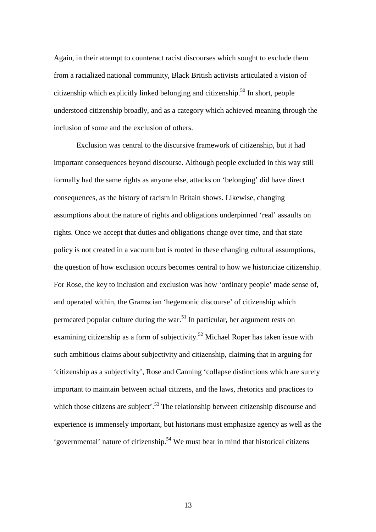Again, in their attempt to counteract racist discourses which sought to exclude them from a racialized national community, Black British activists articulated a vision of citizenship which explicitly linked belonging and citizenship.<sup>50</sup> In short, people understood citizenship broadly, and as a category which achieved meaning through the inclusion of some and the exclusion of others.

Exclusion was central to the discursive framework of citizenship, but it had important consequences beyond discourse. Although people excluded in this way still formally had the same rights as anyone else, attacks on 'belonging' did have direct consequences, as the history of racism in Britain shows. Likewise, changing assumptions about the nature of rights and obligations underpinned 'real' assaults on rights. Once we accept that duties and obligations change over time, and that state policy is not created in a vacuum but is rooted in these changing cultural assumptions, the question of how exclusion occurs becomes central to how we historicize citizenship. For Rose, the key to inclusion and exclusion was how 'ordinary people' made sense of, and operated within, the Gramscian 'hegemonic discourse' of citizenship which permeated popular culture during the war.<sup>51</sup> In particular, her argument rests on examining citizenship as a form of subjectivity.<sup>52</sup> Michael Roper has taken issue with such ambitious claims about subjectivity and citizenship, claiming that in arguing for 'citizenship as a subjectivity', Rose and Canning 'collapse distinctions which are surely important to maintain between actual citizens, and the laws, rhetorics and practices to which those citizens are subject'.<sup>53</sup> The relationship between citizenship discourse and experience is immensely important, but historians must emphasize agency as well as the 'governmental' nature of citizenship.<sup>54</sup> We must bear in mind that historical citizens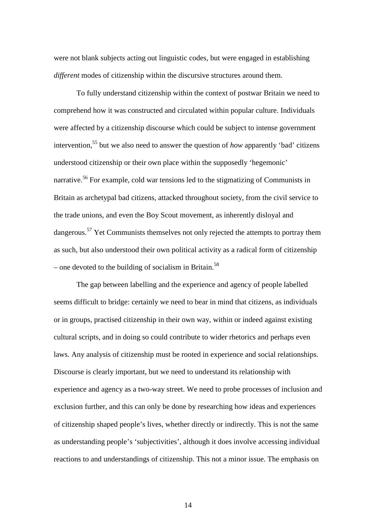were not blank subjects acting out linguistic codes, but were engaged in establishing *different* modes of citizenship within the discursive structures around them.

To fully understand citizenship within the context of postwar Britain we need to comprehend how it was constructed and circulated within popular culture. Individuals were affected by a citizenship discourse which could be subject to intense government intervention,<sup>55</sup> but we also need to answer the question of *how* apparently 'bad' citizens understood citizenship or their own place within the supposedly 'hegemonic' narrative.<sup>56</sup> For example, cold war tensions led to the stigmatizing of Communists in Britain as archetypal bad citizens, attacked throughout society, from the civil service to the trade unions, and even the Boy Scout movement, as inherently disloyal and dangerous.<sup>57</sup> Yet Communists themselves not only rejected the attempts to portray them as such, but also understood their own political activity as a radical form of citizenship – one devoted to the building of socialism in Britain.<sup>58</sup>

The gap between labelling and the experience and agency of people labelled seems difficult to bridge: certainly we need to bear in mind that citizens, as individuals or in groups, practised citizenship in their own way, within or indeed against existing cultural scripts, and in doing so could contribute to wider rhetorics and perhaps even laws. Any analysis of citizenship must be rooted in experience and social relationships. Discourse is clearly important, but we need to understand its relationship with experience and agency as a two-way street. We need to probe processes of inclusion and exclusion further, and this can only be done by researching how ideas and experiences of citizenship shaped people's lives, whether directly or indirectly. This is not the same as understanding people's 'subjectivities', although it does involve accessing individual reactions to and understandings of citizenship. This not a minor issue. The emphasis on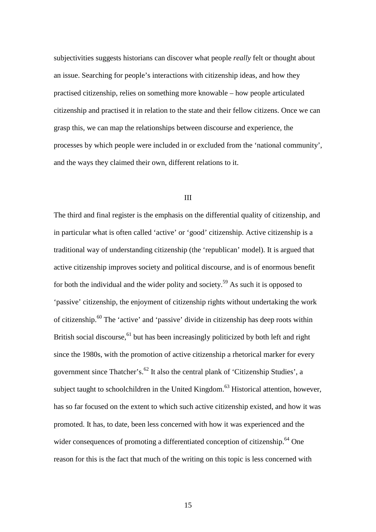subjectivities suggests historians can discover what people *really* felt or thought about an issue. Searching for people's interactions with citizenship ideas, and how they practised citizenship, relies on something more knowable – how people articulated citizenship and practised it in relation to the state and their fellow citizens. Once we can grasp this, we can map the relationships between discourse and experience, the processes by which people were included in or excluded from the 'national community', and the ways they claimed their own, different relations to it.

## III

The third and final register is the emphasis on the differential quality of citizenship, and in particular what is often called 'active' or 'good' citizenship. Active citizenship is a traditional way of understanding citizenship (the 'republican' model). It is argued that active citizenship improves society and political discourse, and is of enormous benefit for both the individual and the wider polity and society.<sup>59</sup> As such it is opposed to 'passive' citizenship, the enjoyment of citizenship rights without undertaking the work of citizenship.<sup>60</sup> The 'active' and 'passive' divide in citizenship has deep roots within British social discourse,<sup>61</sup> but has been increasingly politicized by both left and right since the 1980s, with the promotion of active citizenship a rhetorical marker for every government since Thatcher's.<sup>62</sup> It also the central plank of 'Citizenship Studies', a subject taught to schoolchildren in the United Kingdom.<sup>63</sup> Historical attention, however, has so far focused on the extent to which such active citizenship existed, and how it was promoted. It has, to date, been less concerned with how it was experienced and the wider consequences of promoting a differentiated conception of citizenship.<sup>64</sup> One reason for this is the fact that much of the writing on this topic is less concerned with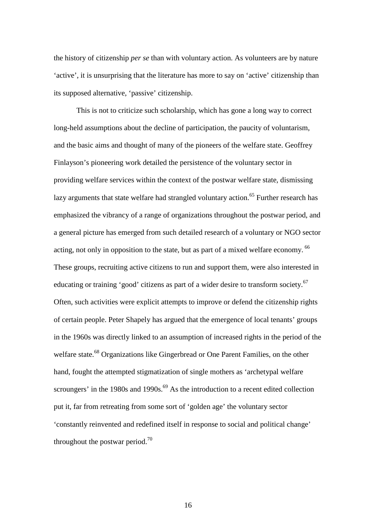the history of citizenship *per se* than with voluntary action. As volunteers are by nature 'active', it is unsurprising that the literature has more to say on 'active' citizenship than its supposed alternative, 'passive' citizenship.

This is not to criticize such scholarship, which has gone a long way to correct long-held assumptions about the decline of participation, the paucity of voluntarism, and the basic aims and thought of many of the pioneers of the welfare state. Geoffrey Finlayson's pioneering work detailed the persistence of the voluntary sector in providing welfare services within the context of the postwar welfare state, dismissing lazy arguments that state welfare had strangled voluntary action.<sup>65</sup> Further research has emphasized the vibrancy of a range of organizations throughout the postwar period, and a general picture has emerged from such detailed research of a voluntary or NGO sector acting, not only in opposition to the state, but as part of a mixed welfare economy.<sup>66</sup> These groups, recruiting active citizens to run and support them, were also interested in educating or training 'good' citizens as part of a wider desire to transform society. $67$ Often, such activities were explicit attempts to improve or defend the citizenship rights of certain people. Peter Shapely has argued that the emergence of local tenants' groups in the 1960s was directly linked to an assumption of increased rights in the period of the welfare state.<sup>68</sup> Organizations like Gingerbread or One Parent Families, on the other hand, fought the attempted stigmatization of single mothers as 'archetypal welfare scroungers' in the 1980s and 1990s. $^{69}$  As the introduction to a recent edited collection put it, far from retreating from some sort of 'golden age' the voluntary sector 'constantly reinvented and redefined itself in response to social and political change' throughout the postwar period.<sup>70</sup>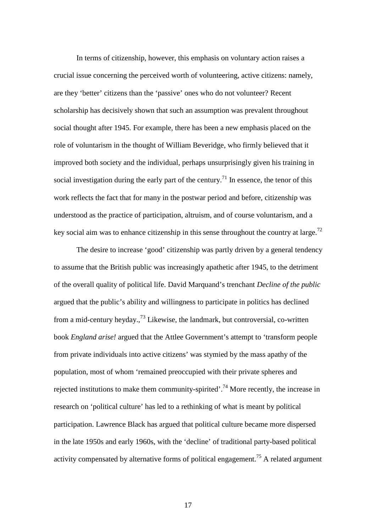In terms of citizenship, however, this emphasis on voluntary action raises a crucial issue concerning the perceived worth of volunteering, active citizens: namely, are they 'better' citizens than the 'passive' ones who do not volunteer? Recent scholarship has decisively shown that such an assumption was prevalent throughout social thought after 1945. For example, there has been a new emphasis placed on the role of voluntarism in the thought of William Beveridge, who firmly believed that it improved both society and the individual, perhaps unsurprisingly given his training in social investigation during the early part of the century.<sup>71</sup> In essence, the tenor of this work reflects the fact that for many in the postwar period and before, citizenship was understood as the practice of participation, altruism, and of course voluntarism, and a key social aim was to enhance citizenship in this sense throughout the country at large.<sup>72</sup>

The desire to increase 'good' citizenship was partly driven by a general tendency to assume that the British public was increasingly apathetic after 1945, to the detriment of the overall quality of political life. David Marquand's trenchant *Decline of the public* argued that the public's ability and willingness to participate in politics has declined from a mid-century heyday.,<sup>73</sup> Likewise, the landmark, but controversial, co-written book *England arise!* argued that the Attlee Government's attempt to 'transform people from private individuals into active citizens' was stymied by the mass apathy of the population, most of whom 'remained preoccupied with their private spheres and rejected institutions to make them community-spirited'.<sup>74</sup> More recently, the increase in research on 'political culture' has led to a rethinking of what is meant by political participation. Lawrence Black has argued that political culture became more dispersed in the late 1950s and early 1960s, with the 'decline' of traditional party-based political activity compensated by alternative forms of political engagement.<sup>75</sup> A related argument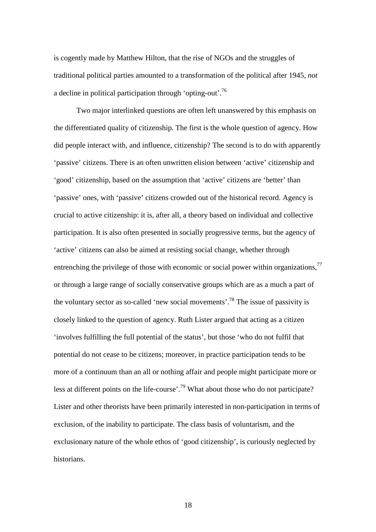is cogently made by Matthew Hilton, that the rise of NGOs and the struggles of traditional political parties amounted to a transformation of the political after 1945, *not*  a decline in political participation through 'opting-out'.<sup>76</sup>

Two major interlinked questions are often left unanswered by this emphasis on the differentiated quality of citizenship. The first is the whole question of agency. How did people interact with, and influence, citizenship? The second is to do with apparently 'passive' citizens. There is an often unwritten elision between 'active' citizenship and 'good' citizenship, based on the assumption that 'active' citizens are 'better' than 'passive' ones, with 'passive' citizens crowded out of the historical record. Agency is crucial to active citizenship: it is, after all, a theory based on individual and collective participation. It is also often presented in socially progressive terms, but the agency of 'active' citizens can also be aimed at resisting social change, whether through entrenching the privilege of those with economic or social power within organizations, $<sup>77</sup>$ </sup> or through a large range of socially conservative groups which are as a much a part of the voluntary sector as so-called 'new social movements'.<sup>78</sup> The issue of passivity is closely linked to the question of agency. Ruth Lister argued that acting as a citizen 'involves fulfilling the full potential of the status', but those 'who do not fulfil that potential do not cease to be citizens; moreover, in practice participation tends to be more of a continuum than an all or nothing affair and people might participate more or less at different points on the life-course'.<sup>79</sup> What about those who do not participate? Lister and other theorists have been primarily interested in non-participation in terms of exclusion, of the inability to participate. The class basis of voluntarism, and the exclusionary nature of the whole ethos of 'good citizenship', is curiously neglected by historians.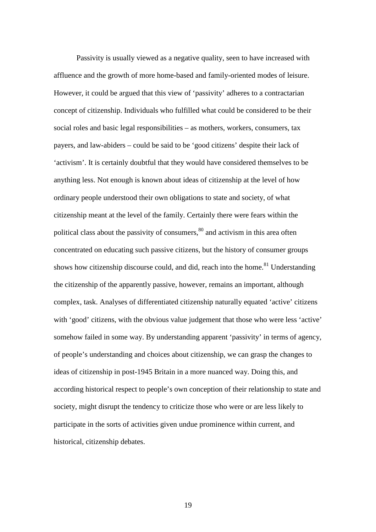Passivity is usually viewed as a negative quality, seen to have increased with affluence and the growth of more home-based and family-oriented modes of leisure. However, it could be argued that this view of 'passivity' adheres to a contractarian concept of citizenship. Individuals who fulfilled what could be considered to be their social roles and basic legal responsibilities – as mothers, workers, consumers, tax payers, and law-abiders – could be said to be 'good citizens' despite their lack of 'activism'. It is certainly doubtful that they would have considered themselves to be anything less. Not enough is known about ideas of citizenship at the level of how ordinary people understood their own obligations to state and society, of what citizenship meant at the level of the family. Certainly there were fears within the political class about the passivity of consumers, $80$  and activism in this area often concentrated on educating such passive citizens, but the history of consumer groups shows how citizenship discourse could, and did, reach into the home.<sup>81</sup> Understanding the citizenship of the apparently passive, however, remains an important, although complex, task. Analyses of differentiated citizenship naturally equated 'active' citizens with 'good' citizens, with the obvious value judgement that those who were less 'active' somehow failed in some way. By understanding apparent 'passivity' in terms of agency, of people's understanding and choices about citizenship, we can grasp the changes to ideas of citizenship in post-1945 Britain in a more nuanced way. Doing this, and according historical respect to people's own conception of their relationship to state and society, might disrupt the tendency to criticize those who were or are less likely to participate in the sorts of activities given undue prominence within current, and historical, citizenship debates.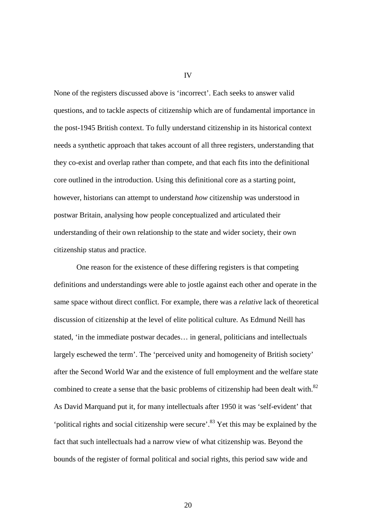None of the registers discussed above is 'incorrect'. Each seeks to answer valid questions, and to tackle aspects of citizenship which are of fundamental importance in the post-1945 British context. To fully understand citizenship in its historical context needs a synthetic approach that takes account of all three registers, understanding that they co-exist and overlap rather than compete, and that each fits into the definitional core outlined in the introduction. Using this definitional core as a starting point, however, historians can attempt to understand *how* citizenship was understood in postwar Britain, analysing how people conceptualized and articulated their understanding of their own relationship to the state and wider society, their own citizenship status and practice.

One reason for the existence of these differing registers is that competing definitions and understandings were able to jostle against each other and operate in the same space without direct conflict. For example, there was a *relative* lack of theoretical discussion of citizenship at the level of elite political culture. As Edmund Neill has stated, 'in the immediate postwar decades… in general, politicians and intellectuals largely eschewed the term'. The 'perceived unity and homogeneity of British society' after the Second World War and the existence of full employment and the welfare state combined to create a sense that the basic problems of citizenship had been dealt with.<sup>82</sup> As David Marquand put it, for many intellectuals after 1950 it was 'self-evident' that 'political rights and social citizenship were secure'.<sup>83</sup> Yet this may be explained by the fact that such intellectuals had a narrow view of what citizenship was. Beyond the bounds of the register of formal political and social rights, this period saw wide and

IV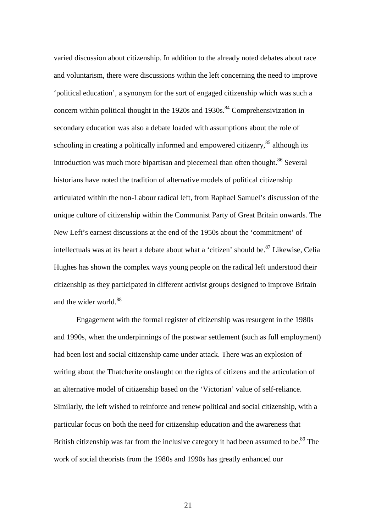varied discussion about citizenship. In addition to the already noted debates about race and voluntarism, there were discussions within the left concerning the need to improve 'political education', a synonym for the sort of engaged citizenship which was such a concern within political thought in the  $1920s$  and  $1930s$ .<sup>84</sup> Comprehensivization in secondary education was also a debate loaded with assumptions about the role of schooling in creating a politically informed and empowered citizenry, $85$  although its introduction was much more bipartisan and piecemeal than often thought.<sup>86</sup> Several historians have noted the tradition of alternative models of political citizenship articulated within the non-Labour radical left, from Raphael Samuel's discussion of the unique culture of citizenship within the Communist Party of Great Britain onwards. The New Left's earnest discussions at the end of the 1950s about the 'commitment' of intellectuals was at its heart a debate about what a 'citizen' should be.<sup>87</sup> Likewise, Celia Hughes has shown the complex ways young people on the radical left understood their citizenship as they participated in different activist groups designed to improve Britain and the wider world.<sup>88</sup>

Engagement with the formal register of citizenship was resurgent in the 1980s and 1990s, when the underpinnings of the postwar settlement (such as full employment) had been lost and social citizenship came under attack. There was an explosion of writing about the Thatcherite onslaught on the rights of citizens and the articulation of an alternative model of citizenship based on the 'Victorian' value of self-reliance. Similarly, the left wished to reinforce and renew political and social citizenship, with a particular focus on both the need for citizenship education and the awareness that British citizenship was far from the inclusive category it had been assumed to be.<sup>89</sup> The work of social theorists from the 1980s and 1990s has greatly enhanced our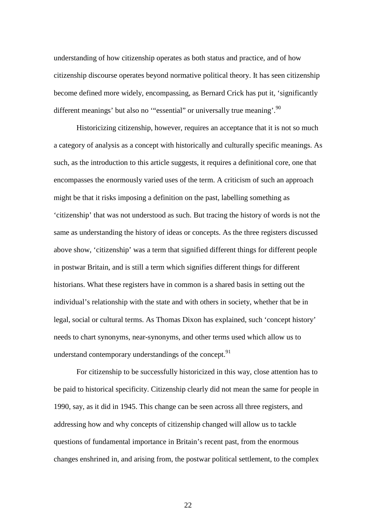understanding of how citizenship operates as both status and practice, and of how citizenship discourse operates beyond normative political theory. It has seen citizenship become defined more widely, encompassing, as Bernard Crick has put it, 'significantly different meanings' but also no "essential" or universally true meaning'.  $90$ 

Historicizing citizenship, however, requires an acceptance that it is not so much a category of analysis as a concept with historically and culturally specific meanings. As such, as the introduction to this article suggests, it requires a definitional core, one that encompasses the enormously varied uses of the term. A criticism of such an approach might be that it risks imposing a definition on the past, labelling something as 'citizenship' that was not understood as such. But tracing the history of words is not the same as understanding the history of ideas or concepts. As the three registers discussed above show, 'citizenship' was a term that signified different things for different people in postwar Britain, and is still a term which signifies different things for different historians. What these registers have in common is a shared basis in setting out the individual's relationship with the state and with others in society, whether that be in legal, social or cultural terms. As Thomas Dixon has explained, such 'concept history' needs to chart synonyms, near-synonyms, and other terms used which allow us to understand contemporary understandings of the concept. $91$ 

For citizenship to be successfully historicized in this way, close attention has to be paid to historical specificity. Citizenship clearly did not mean the same for people in 1990, say, as it did in 1945. This change can be seen across all three registers, and addressing how and why concepts of citizenship changed will allow us to tackle questions of fundamental importance in Britain's recent past, from the enormous changes enshrined in, and arising from, the postwar political settlement, to the complex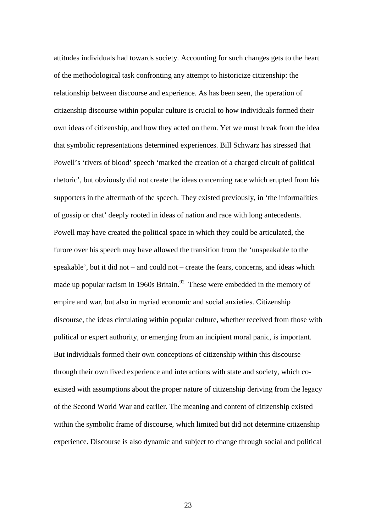attitudes individuals had towards society. Accounting for such changes gets to the heart of the methodological task confronting any attempt to historicize citizenship: the relationship between discourse and experience. As has been seen, the operation of citizenship discourse within popular culture is crucial to how individuals formed their own ideas of citizenship, and how they acted on them. Yet we must break from the idea that symbolic representations determined experiences. Bill Schwarz has stressed that Powell's 'rivers of blood' speech 'marked the creation of a charged circuit of political rhetoric', but obviously did not create the ideas concerning race which erupted from his supporters in the aftermath of the speech. They existed previously, in 'the informalities of gossip or chat' deeply rooted in ideas of nation and race with long antecedents. Powell may have created the political space in which they could be articulated, the furore over his speech may have allowed the transition from the 'unspeakable to the speakable', but it did not – and could not – create the fears, concerns, and ideas which made up popular racism in 1960s Britain.<sup>92</sup> These were embedded in the memory of empire and war, but also in myriad economic and social anxieties. Citizenship discourse, the ideas circulating within popular culture, whether received from those with political or expert authority, or emerging from an incipient moral panic, is important. But individuals formed their own conceptions of citizenship within this discourse through their own lived experience and interactions with state and society, which coexisted with assumptions about the proper nature of citizenship deriving from the legacy of the Second World War and earlier. The meaning and content of citizenship existed within the symbolic frame of discourse, which limited but did not determine citizenship experience. Discourse is also dynamic and subject to change through social and political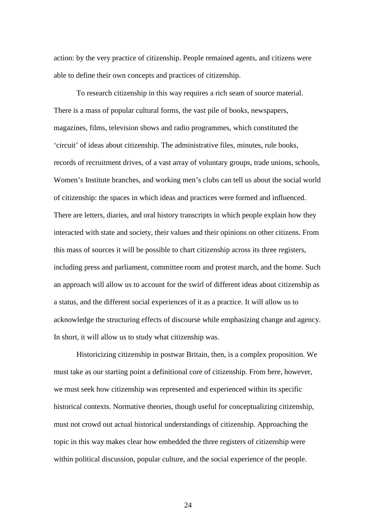action: by the very practice of citizenship. People remained agents, and citizens were able to define their own concepts and practices of citizenship.

To research citizenship in this way requires a rich seam of source material. There is a mass of popular cultural forms, the vast pile of books, newspapers, magazines, films, television shows and radio programmes, which constituted the 'circuit' of ideas about citizenship. The administrative files, minutes, rule books, records of recruitment drives, of a vast array of voluntary groups, trade unions, schools, Women's Institute branches, and working men's clubs can tell us about the social world of citizenship: the spaces in which ideas and practices were formed and influenced. There are letters, diaries, and oral history transcripts in which people explain how they interacted with state and society, their values and their opinions on other citizens. From this mass of sources it will be possible to chart citizenship across its three registers, including press and parliament, committee room and protest march, and the home. Such an approach will allow us to account for the swirl of different ideas about citizenship as a status, and the different social experiences of it as a practice. It will allow us to acknowledge the structuring effects of discourse while emphasizing change and agency. In short, it will allow us to study what citizenship was.

 Historicizing citizenship in postwar Britain, then, is a complex proposition. We must take as our starting point a definitional core of citizenship. From here, however, we must seek how citizenship was represented and experienced within its specific historical contexts. Normative theories, though useful for conceptualizing citizenship, must not crowd out actual historical understandings of citizenship. Approaching the topic in this way makes clear how embedded the three registers of citizenship were within political discussion, popular culture, and the social experience of the people.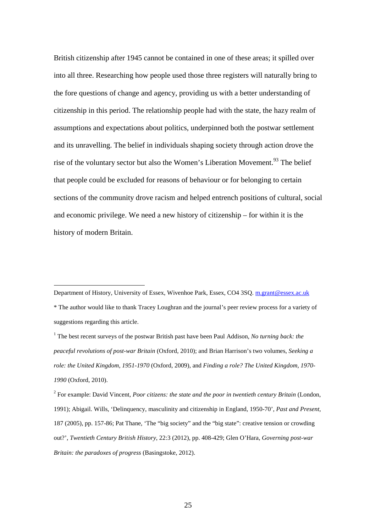British citizenship after 1945 cannot be contained in one of these areas; it spilled over into all three. Researching how people used those three registers will naturally bring to the fore questions of change and agency, providing us with a better understanding of citizenship in this period. The relationship people had with the state, the hazy realm of assumptions and expectations about politics, underpinned both the postwar settlement and its unravelling. The belief in individuals shaping society through action drove the rise of the voluntary sector but also the Women's Liberation Movement.<sup>93</sup> The belief that people could be excluded for reasons of behaviour or for belonging to certain sections of the community drove racism and helped entrench positions of cultural, social and economic privilege. We need a new history of citizenship – for within it is the history of modern Britain.

Department of History, University of Essex, Wivenhoe Park, Essex, CO4 3SQ. m.grant@essex.ac.uk \* The author would like to thank Tracey Loughran and the journal's peer review process for a variety of suggestions regarding this article.

 $\overline{a}$ 

<sup>1</sup> The best recent surveys of the postwar British past have been Paul Addison, *No turning back: the peaceful revolutions of post-war Britain* (Oxford, 2010); and Brian Harrison's two volumes, *Seeking a role: the United Kingdom, 1951-1970* (Oxford, 2009), and *Finding a role? The United Kingdom, 1970- 1990* (Oxford, 2010).

<sup>2</sup> For example: David Vincent, *Poor citizens: the state and the poor in twentieth century Britain* (London, 1991); Abigail. Wills, 'Delinquency, masculinity and citizenship in England, 1950-70', *Past and Present*, 187 (2005), pp. 157-86; Pat Thane, 'The "big society" and the "big state": creative tension or crowding out?', *Twentieth Century British History*, 22:3 (2012), pp. 408-429; Glen O'Hara, *Governing post-war Britain: the paradoxes of progress* (Basingstoke, 2012).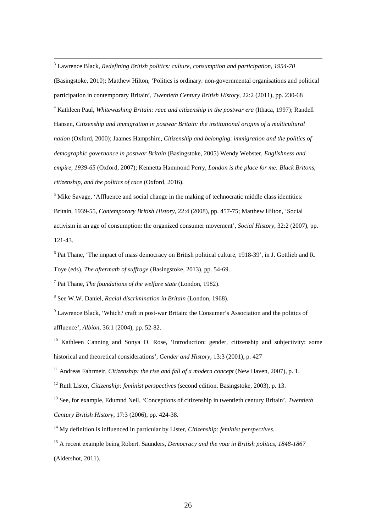<u>.</u> 3 Lawrence Black, *Redefining British politics: culture, consumption and participation, 1954-70*  (Basingstoke, 2010); Matthew Hilton, 'Politics is ordinary: non-governmental organisations and political participation in contemporary Britain', *Twentieth Century British History*, 22:2 (2011), pp. 230-68 <sup>4</sup> Kathleen Paul, *Whitewashing Britain: race and citizenship in the postwar era* (Ithaca, 1997); Randell Hansen, *Citizenship and immigration in postwar Britain: the institutional origins of a multicultural nation* (Oxford, 2000); Jaames Hampshire, *Citizenship and belonging*: *immigration and the politics of demographic governance in postwar Britain* (Basingstoke, 2005) Wendy Webster, *Englishness and empire, 1939-65* (Oxford, 2007); Kennetta Hammond Perry, *London is the place for me: Black Britons, citizenship, and the politics of race* (Oxford, 2016).

 $<sup>5</sup>$  Mike Savage, 'Affluence and social change in the making of technocratic middle class identities:</sup> Britain, 1939-55*, Contemporary British History*, 22:4 (2008), pp. 457-75; Matthew Hilton, 'Social activism in an age of consumption: the organized consumer movement', *Social History*, 32:2 (2007), pp. 121-43.

<sup>6</sup> Pat Thane, 'The impact of mass democracy on British political culture, 1918-39', in J. Gottlieb and R. Toye (eds), *The aftermath of suffrage* (Basingstoke, 2013), pp. 54-69.

7 Pat Thane, *The foundations of the welfare state* (London, 1982).

8 See W.W. Daniel, *Racial discrimination in Britain* (London, 1968).

<sup>9</sup> Lawrence Black, 'Which? craft in post-war Britain: the Consumer's Association and the politics of affluence', *Albion*, 36:1 (2004), pp. 52-82.

<sup>10</sup> Kathleen Canning and Sonya O. Rose, 'Introduction: gender, citizenship and subjectivity: some historical and theoretical considerations', *Gender and History,* 13:3 (2001), p. 427

<sup>11</sup> Andreas Fahrmeir, *Citizenship: the rise and fall of a modern concept* (New Haven, 2007), p. 1.

<sup>12</sup> Ruth Lister, *Citizenship: feminist perspectives* (second edition, Basingstoke, 2003), p. 13.

<sup>13</sup> See, for example, Edumnd Neil, 'Conceptions of citizenship in twentieth century Britain', *Twentieth Century British History*, 17:3 (2006), pp. 424-38.

<sup>14</sup> My definition is influenced in particular by Lister, *Citizenship: feminist perspectives.* 

<sup>15</sup> A recent example being Robert. Saunders, *Democracy and the vote in British politics, 1848-1867*  (Aldershot, 2011).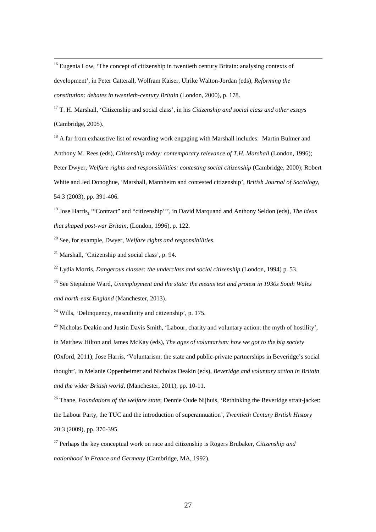<sup>16</sup> Eugenia Low, 'The concept of citizenship in twentieth century Britain: analysing contexts of development', in Peter Catterall, Wolfram Kaiser, Ulrike Walton-Jordan (eds), *Reforming the constitution: debates in twentieth-century Britain* (London, 2000), p. 178.

<sup>17</sup> T. H. Marshall, 'Citizenship and social class', in his *Citizenship and social class and other essays*  (Cambridge, 2005).

 $18$  A far from exhaustive list of rewarding work engaging with Marshall includes: Martin Bulmer and Anthony M. Rees (eds), *Citizenship today: contemporary relevance of T.H. Marshall* (London, 1996); Peter Dwyer, *Welfare rights and responsibilities: contesting social citizenship* (Cambridge, 2000); Robert White and Jed Donoghue, 'Marshall, Mannheim and contested citizenship', *British Journal of Sociology*, 54:3 (2003), pp. 391-406.

<sup>19</sup> Jose Harris, '"Contract" and "citizenship''', in David Marquand and Anthony Seldon (eds), *The ideas that shaped post-war Britain*, (London, 1996), p. 122.

<sup>20</sup> See, for example, Dwyer, *Welfare rights and responsibilities*.

 $21$  Marshall, 'Citizenship and social class', p. 94.

<u>.</u>

<sup>22</sup> Lydia Morris, *Dangerous classes: the underclass and social citizenship* (London, 1994) p. 53.

<sup>23</sup> See Stepahnie Ward, *Unemployment and the state: the means test and protest in 1930s South Wales and north-east England* (Manchester, 2013).

<sup>24</sup> Wills, 'Delinquency, masculinity and citizenship', p. 175.

<sup>25</sup> Nicholas Deakin and Justin Davis Smith, 'Labour, charity and voluntary action: the myth of hostility', in Matthew Hilton and James McKay (eds), *The ages of voluntarism: how we got to the big society* (Oxford, 2011); Jose Harris, 'Voluntarism, the state and public-private partnerships in Beveridge's social thought', in Melanie Oppenheimer and Nicholas Deakin (eds), *Beveridge and voluntary action in Britain and the wider British world*, (Manchester, 2011), pp. 10-11.

<sup>26</sup> Thane, *Foundations of the welfare state*; Dennie Oude Nijhuis, 'Rethinking the Beveridge strait-jacket: the Labour Party, the TUC and the introduction of superannuation', *Twentieth Century British History* 20:3 (2009), pp. 370-395.

<sup>27</sup> Perhaps the key conceptual work on race and citizenship is Rogers Brubaker, *Citizenship and nationhood in France and Germany* (Cambridge, MA, 1992).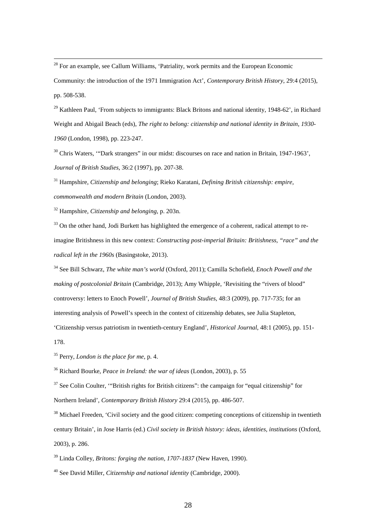$2<sup>28</sup>$  For an example, see Callum Williams, 'Patriality, work permits and the European Economic

Community: the introduction of the 1971 Immigration Act', *Contemporary British History*, 29:4 (2015), pp. 508-538.

 $29$  Kathleen Paul, 'From subjects to immigrants: Black Britons and national identity, 1948-62', in Richard Weight and Abigail Beach (eds), *The right to belong: citizenship and national identity in Britain, 1930- 1960* (London, 1998), pp. 223-247.

 $30$  Chris Waters, "Dark strangers" in our midst: discourses on race and nation in Britain, 1947-1963', *Journal of British Studies*, 36:2 (1997), pp. 207-38.

<sup>31</sup> Hampshire, *Citizenship and belonging*; Rieko Karatani, *Defining British citizenship: empire, commonwealth and modern Britain* (London, 2003).

<sup>32</sup> Hampshire, *Citizenship and belonging*, p. 203n.

<u>.</u>

 $33$  On the other hand. Jodi Burkett has highlighted the emergence of a coherent, radical attempt to reimagine Britishness in this new context: *Constructing post-imperial Britain: Britishness, "race" and the radical left in the 1960s* (Basingstoke, 2013).

<sup>34</sup> See Bill Schwarz, *The white man's world* (Oxford, 2011); Camilla Schofield, *Enoch Powell and the making of postcolonial Britain* (Cambridge, 2013); Amy Whipple, 'Revisiting the "rivers of blood" controversy: letters to Enoch Powell', *Journal of British Studies*, 48:3 (2009), pp. 717-735; for an interesting analysis of Powell's speech in the context of citizenship debates, see Julia Stapleton, 'Citizenship versus patriotism in twentieth-century England', *Historical Journal*, 48:1 (2005), pp. 151- 178.

<sup>35</sup> Perry, *London is the place for me*, p. 4.

<sup>36</sup> Richard Bourke, *Peace in Ireland: the war of ideas* (London, 2003), p. 55

 $37$  See Colin Coulter, "British rights for British citizens": the campaign for "equal citizenship" for Northern Ireland', *Contemporary British History* 29:4 (2015), pp. 486-507.

<sup>38</sup> Michael Freeden, 'Civil society and the good citizen: competing conceptions of citizenship in twentieth century Britain', in Jose Harris (ed.) *Civil society in British history: ideas, identities, institutions* (Oxford, 2003), p. 286.

<sup>39</sup> Linda Colley, *Britons: forging the nation, 1707-1837* (New Haven, 1990).

<sup>40</sup> See David Miller, *Citizenship and national identity* (Cambridge, 2000).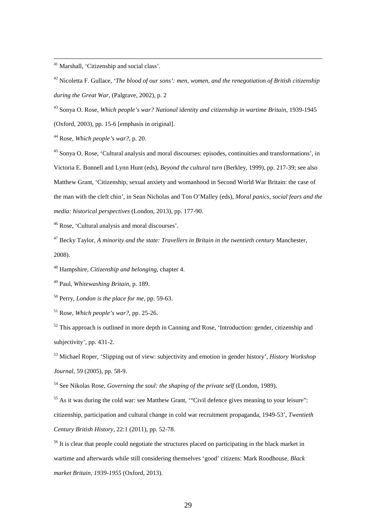<sup>41</sup> Marshall, 'Citizenship and social class'.

<u>.</u>

<sup>42</sup> Nicoletta F. Gullace, *'The blood of our sons': men, women, and the renegotiation of British citizenship during the Great War*, (Palgrave, 2002), p. 2

<sup>43</sup> Sonya O. Rose, *Which people's war? National identity and citizenship in wartime Britain*, 1939-1945 (Oxford, 2003), pp. 15-6 [emphasis in original].

<sup>44</sup> Rose, *Which people's war?*, p. 20.

<sup>45</sup> Sonya O. Rose, 'Cultural analysis and moral discourses: episodes, continuities and transformations', in Victoria E. Bonnell and Lynn Hunt (eds), *Beyond the cultural turn* (Berkley, 1999), pp. 217-39; see also Matthew Grant, 'Citizenship, sexual anxiety and womanhood in Second World War Britain: the case of the man with the cleft chin', in Sean Nicholas and Ton O'Malley (eds), *Moral panics, social fears and the media: historical perspectives* (London, 2013), pp. 177-90.

<sup>46</sup> Rose, 'Cultural analysis and moral discourses'.

<sup>47</sup> Becky Taylor, *A minority and the state: Travellers in Britain in the twentieth century* Manchester, 2008).

<sup>48</sup> Hampshire, *Citizenship and belonging*, chapter 4.

<sup>49</sup> Paul, *Whitewashing Britain*, p. 189.

<sup>50</sup> Perry, *London is the place for me*, pp. 59-63.

<sup>51</sup> Rose, *Which people's war?*, pp. 25-26.

 $52$  This approach is outlined in more depth in Canning and Rose, 'Introduction: gender, citizenship and subjectivity', pp. 431-2.

<sup>53</sup> Michael Roper, 'Slipping out of view: subjectivity and emotion in gender history', *History Workshop Journal*, 59 (2005), pp. 58-9.

<sup>54</sup> See Nikolas Rose, *Governing the soul: the shaping of the private self* (London, 1989).

 $55$  As it was during the cold war: see Matthew Grant, "Civil defence gives meaning to your leisure": citizenship, participation and cultural change in cold war recruitment propaganda, 1949-53', *Twentieth Century British History*, 22:1 (2011), pp. 52-78.

 $<sup>56</sup>$  It is clear that people could negotiate the structures placed on participating in the black market in</sup> wartime and afterwards while still considering themselves 'good' citizens: Mark Roodhouse, *Black market Britain, 1939-1955* (Oxford, 2013).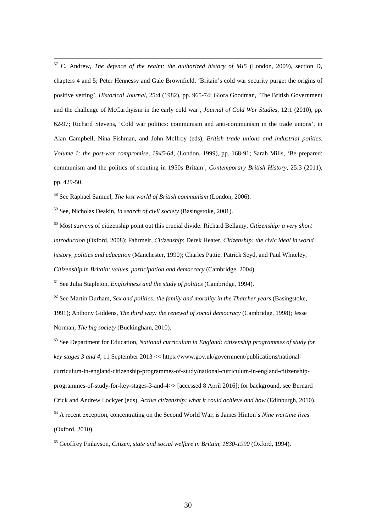<sup>57</sup> C. Andrew, *The defence of the realm: the authorized history of MI5* (London, 2009), section D, chapters 4 and 5; Peter Hennessy and Gale Brownfield, 'Britain's cold war security purge: the origins of positive vetting', *Historical Journal*, 25:4 (1982), pp. 965-74; Giora Goodman, 'The British Government and the challenge of McCarthyism in the early cold war', *Journal of Cold War Studies*, 12:1 (2010), pp. 62-97; Richard Stevens, 'Cold war politics: communism and anti-communism in the trade unions', in Alan Campbell, Nina Fishman, and John McIlroy (eds), *British trade unions and industrial politics. Volume 1: the post-war compromise, 1945-64*, (London, 1999), pp. 168-91; Sarah Mills, 'Be prepared: communism and the politics of scouting in 1950s Britain', *Contemporary British History*, 25:3 (2011), pp. 429-50.

<sup>58</sup> See Raphael Samuel, *The lost world of British communism* (London, 2006).

<sup>59</sup> See, Nicholas Deakin, *In search of civil society* (Basingstoke, 2001).

<u>.</u>

<sup>60</sup> Most surveys of citizenship point out this crucial divide: Richard Bellamy, *Citizenship: a very short introduction* (Oxford, 2008); Fahrmeir, *Citizenship*; Derek Heater, *Citizenship: the civic ideal in world history, politics and education* (Manchester, 1990); Charles Pattie, Patrick Seyd, and Paul Whiteley, *Citizenship in Britain: values, participation and democracy* (Cambridge, 2004).

<sup>61</sup> See Julia Stapleton, *Englishness and the study of politics* (Cambridge, 1994).

<sup>62</sup> See Martin Durham, *Sex and politics: the family and morality in the Thatcher years* (Basingstoke, 1991); Anthony Giddens, *The third way: the renewal of social democracy* (Cambridge, 1998); Jesse Norman, *The big society* (Buckingham, 2010).

<sup>63</sup> See Department for Education, *National curriculum in England: citizenship programmes of study for key stages 3 and 4*, 11 September 2013 << https://www.gov.uk/government/publications/nationalcurriculum-in-england-citizenship-programmes-of-study/national-curriculum-in-england-citizenshipprogrammes-of-study-for-key-stages-3-and-4>> [accessed 8 April 2016]; for background, see Bernard Crick and Andrew Lockyer (eds), *Active citizenship: what it could achieve and how* (Edinburgh, 2010). <sup>64</sup> A recent exception, concentrating on the Second World War, is James Hinton's *Nine wartime lives*  (Oxford, 2010).

<sup>65</sup> Geoffrey Finlayson, *Citizen, state and social welfare in Britain, 1830-1990* (Oxford, 1994).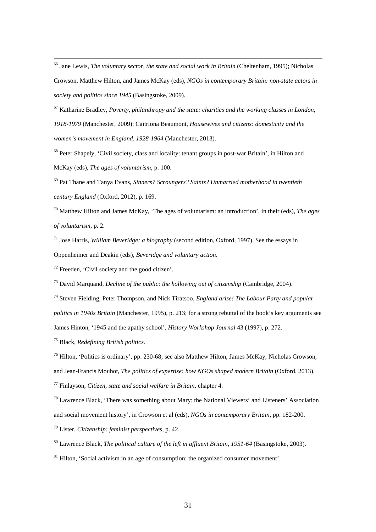<sup>66</sup> Jane Lewis, *The voluntary sector, the state and social work in Britain* (Cheltenham, 1995); Nicholas Crowson, Matthew Hilton, and James McKay (eds), *NGOs in contemporary Britain: non-state actors in society and politics since 1945* (Basingstoke, 2009).

<sup>67</sup> Katharine Bradley, *Poverty, philanthropy and the state: charities and the working classes in London, 1918-1979* (Manchester, 2009); Caitriona Beaumont, *Housewives and citizens: domesticity and the women's movement in England, 1928-1964* (Manchester, 2013).

<sup>68</sup> Peter Shapely, 'Civil society, class and locality: tenant groups in post-war Britain', in Hilton and McKay (eds), *The ages of voluntarism*, p. 100.

<sup>69</sup> Pat Thane and Tanya Evans, *Sinners? Scroungers? Saints? Unmarried motherhood in twentieth century England* (Oxford, 2012), p. 169.

<sup>70</sup> Matthew Hilton and James McKay, 'The ages of voluntarism: an introduction', in their (eds), *The ages of voluntarism*, p. 2.

<sup>71</sup> Jose Harris, *William Beveridge: a biography* (second edition, Oxford, 1997). See the essays in Oppenheimer and Deakin (eds), *Beveridge and voluntary action*.

 $72$  Freeden, 'Civil society and the good citizen'.

<u>.</u>

<sup>73</sup> David Marquand, *Decline of the public: the hollowing out of citizenship* (Cambridge, 2004).

<sup>74</sup> Steven Fielding, Peter Thompson, and Nick Tiratsoo, *England arise! The Labour Party and popular politics in 1940s Britain* (Manchester, 1995), p. 213; for a strong rebuttal of the book's key arguments see James Hinton, '1945 and the apathy school', *History Workshop Journal* 43 (1997), p. 272.

<sup>75</sup> Black, *Redefining British politics*.

<sup>76</sup> Hilton, 'Politics is ordinary', pp. 230-68; see also Matthew Hilton, James McKay, Nicholas Crowson, and Jean-Francis Mouhot, *The politics of expertise: how NGOs shaped modern Britain* (Oxford, 2013). <sup>77</sup> Finlayson, *Citizen, state and social welfare in Britain,* chapter 4.

 $78$  Lawrence Black, 'There was something about Mary: the National Viewers' and Listeners' Association and social movement history', in Crowson et al (eds), *NGOs in contemporary Britain*, pp. 182-200.

<sup>79</sup> Lister, *Citizenship: feminist perspectives*, p. 42.

<sup>80</sup> Lawrence Black, *The political culture of the left in affluent Britain, 1951-64* (Basingstoke, 2003).

 $81$  Hilton, 'Social activism in an age of consumption: the organized consumer movement'.